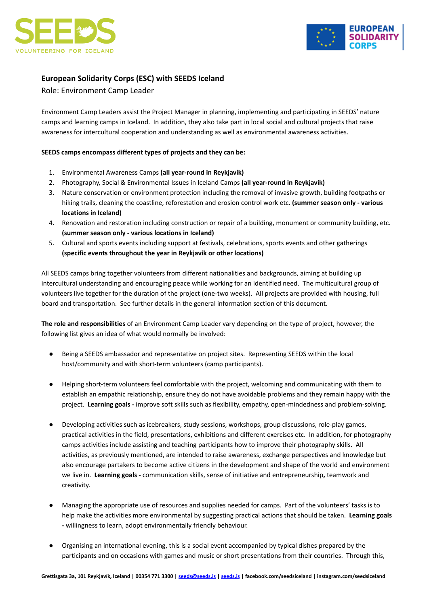



# **European Solidarity Corps (ESC) with SEEDS Iceland**

Role: Environment Camp Leader

Environment Camp Leaders assist the Project Manager in planning, implementing and participating in SEEDS' nature camps and learning camps in Iceland. In addition, they also take part in local social and cultural projects that raise awareness for intercultural cooperation and understanding as well as environmental awareness activities.

## **SEEDS camps encompass different types of projects and they can be:**

- 1. Environmental Awareness Camps **(all year-round in Reykjavík)**
- 2. Photography, Social & Environmental Issues in Iceland Camps **(all year-round in Reykjavík)**
- 3. Nature conservation or environment protection including the removal of invasive growth, building footpaths or hiking trails, cleaning the coastline, reforestation and erosion control work etc. **(summer season only - various locations in Iceland)**
- 4. Renovation and restoration including construction or repair of a building, monument or community building, etc. **(summer season only - various locations in Iceland)**
- 5. Cultural and sports events including support at festivals, celebrations, sports events and other gatherings **(specific events throughout the year in Reykjavík or other locations)**

All SEEDS camps bring together volunteers from different nationalities and backgrounds, aiming at building up intercultural understanding and encouraging peace while working for an identified need. The multicultural group of volunteers live together for the duration of the project (one-two weeks). All projects are provided with housing, full board and transportation. See further details in the general information section of this document.

**The role and responsibilities** of an Environment Camp Leader vary depending on the type of project, however, the following list gives an idea of what would normally be involved:

- Being a SEEDS ambassador and representative on project sites. Representing SEEDS within the local host/community and with short-term volunteers (camp participants).
- Helping short-term volunteers feel comfortable with the project, welcoming and communicating with them to establish an empathic relationship, ensure they do not have avoidable problems and they remain happy with the project. **Learning goals -** improve soft skills such as flexibility, empathy, open-mindedness and problem-solving.
- Developing activities such as icebreakers, study sessions, workshops, group discussions, role-play games, practical activities in the field, presentations, exhibitions and different exercises etc. In addition, for photography camps activities include assisting and teaching participants how to improve their photography skills. All activities, as previously mentioned, are intended to raise awareness, exchange perspectives and knowledge but also encourage partakers to become active citizens in the development and shape of the world and environment we live in. **Learning goals -** communication skills, sense of initiative and entrepreneurship**,** teamwork and creativity.
- Managing the appropriate use of resources and supplies needed for camps. Part of the volunteers' tasks is to help make the activities more environmental by suggesting practical actions that should be taken. **Learning goals -** willingness to learn, adopt environmentally friendly behaviour.
- Organising an international evening, this is a social event accompanied by typical dishes prepared by the participants and on occasions with games and music or short presentations from their countries. Through this,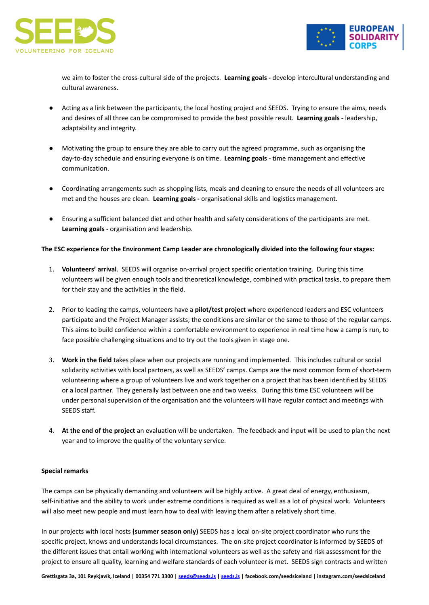



we aim to foster the cross-cultural side of the projects. **Learning goals -** develop intercultural understanding and cultural awareness.

- Acting as a link between the participants, the local hosting project and SEEDS. Trying to ensure the aims, needs and desires of all three can be compromised to provide the best possible result. **Learning goals -** leadership, adaptability and integrity.
- Motivating the group to ensure they are able to carry out the agreed programme, such as organising the day-to-day schedule and ensuring everyone is on time. **Learning goals -** time management and effective communication.
- Coordinating arrangements such as shopping lists, meals and cleaning to ensure the needs of all volunteers are met and the houses are clean. **Learning goals -** organisational skills and logistics management.
- Ensuring a sufficient balanced diet and other health and safety considerations of the participants are met. **Learning goals -** organisation and leadership.

### **The ESC experience for the Environment Camp Leader are chronologically divided into the following four stages:**

- 1. **Volunteers' arrival**. SEEDS will organise on-arrival project specific orientation training. During this time volunteers will be given enough tools and theoretical knowledge, combined with practical tasks, to prepare them for their stay and the activities in the field.
- 2. Prior to leading the camps, volunteers have a **pilot/test project** where experienced leaders and ESC volunteers participate and the Project Manager assists; the conditions are similar or the same to those of the regular camps. This aims to build confidence within a comfortable environment to experience in real time how a camp is run, to face possible challenging situations and to try out the tools given in stage one.
- 3. **Work in the field** takes place when our projects are running and implemented. This includes cultural or social solidarity activities with local partners, as well as SEEDS' camps. Camps are the most common form of short-term volunteering where a group of volunteers live and work together on a project that has been identified by SEEDS or a local partner. They generally last between one and two weeks. During this time ESC volunteers will be under personal supervision of the organisation and the volunteers will have regular contact and meetings with SEEDS staff.
- 4. **At the end of the project** an evaluation will be undertaken. The feedback and input will be used to plan the next year and to improve the quality of the voluntary service.

#### **Special remarks**

The camps can be physically demanding and volunteers will be highly active. A great deal of energy, enthusiasm, self-initiative and the ability to work under extreme conditions is required as well as a lot of physical work. Volunteers will also meet new people and must learn how to deal with leaving them after a relatively short time.

In our projects with local hosts **(summer season only)** SEEDS has a local on-site project coordinator who runs the specific project, knows and understands local circumstances. The on-site project coordinator is informed by SEEDS of the different issues that entail working with international volunteers as well as the safety and risk assessment for the project to ensure all quality, learning and welfare standards of each volunteer is met. SEEDS sign contracts and written

Grettisgata 3a, 101 Reykjavík, Iceland | 00354 771 3300 | [seeds@seeds.is](mailto:seeds@seeds.is) | [seeds.is](http://www.seeds.is) | facebook.com/seedsiceland | instagram.com/seedsiceland